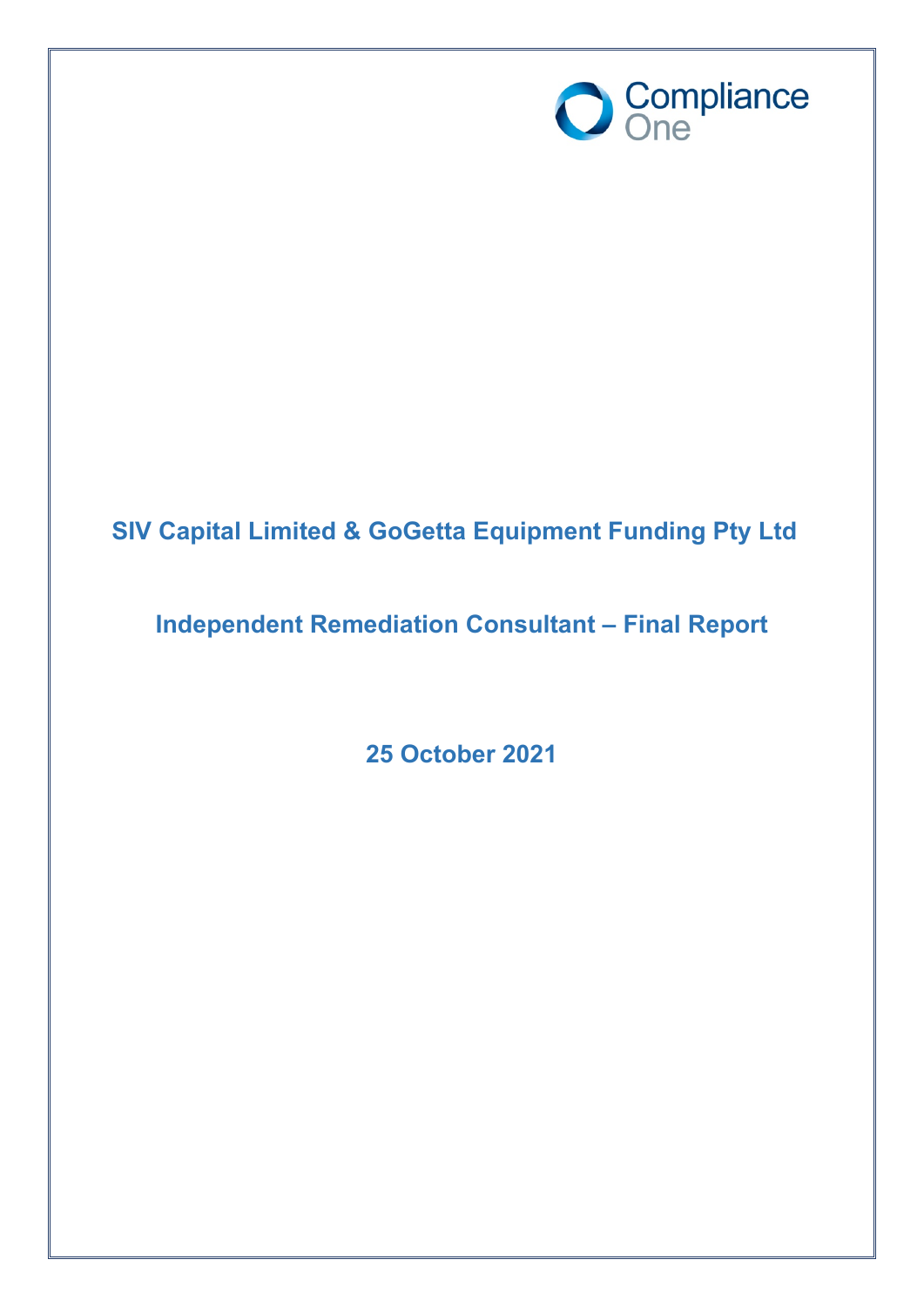

# **SIV Capital Limited & GoGetta Equipment Funding Pty Ltd**

## **Independent Remediation Consultant – Final Report**

**25 October 2021**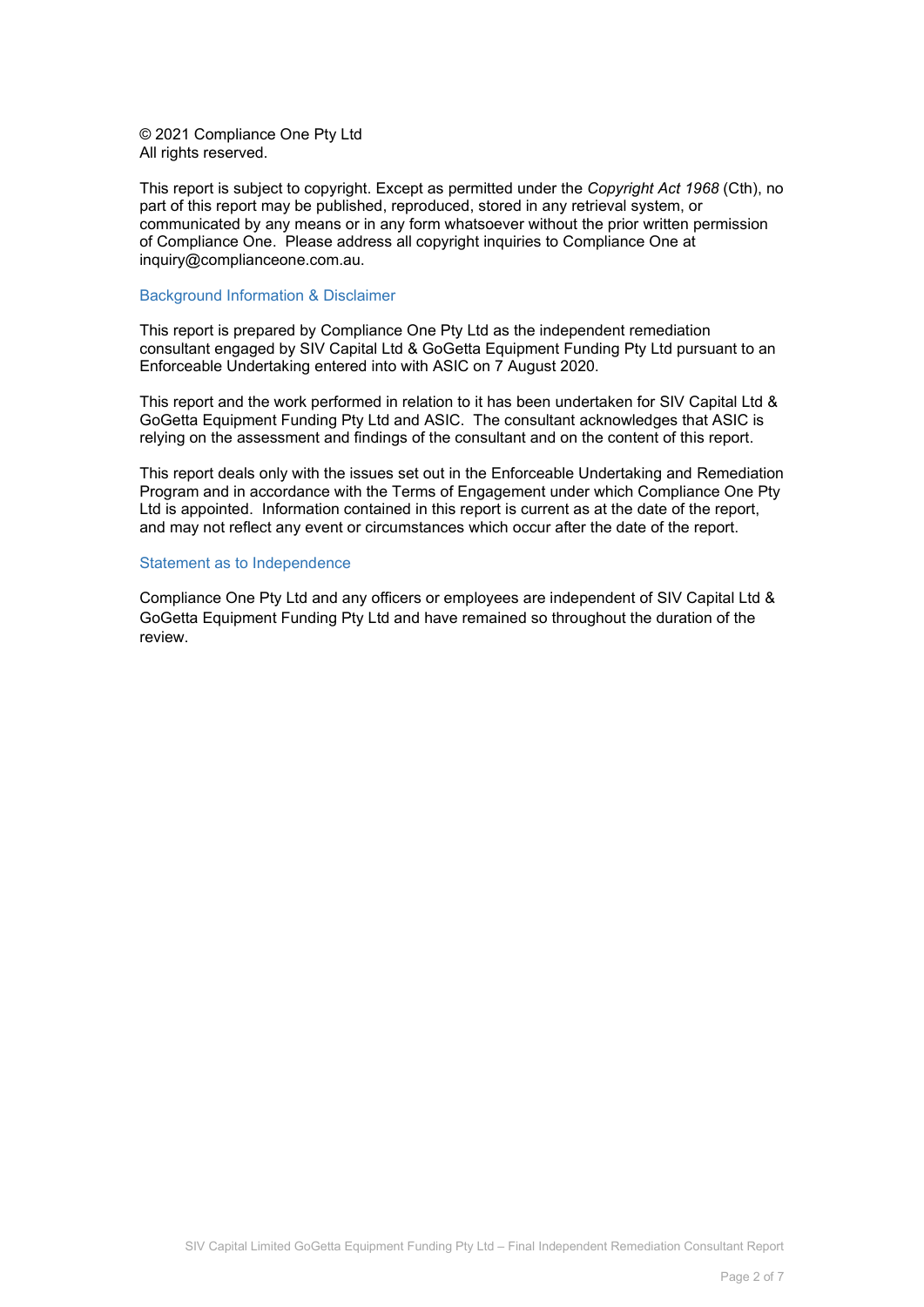© 2021 Compliance One Pty Ltd All rights reserved.

This report is subject to copyright. Except as permitted under the *Copyright Act 1968* (Cth), no part of this report may be published, reproduced, stored in any retrieval system, or communicated by any means or in any form whatsoever without the prior written permission of Compliance One. Please address all copyright inquiries to Compliance One at inquiry@complianceone.com.au.

#### Background Information & Disclaimer

This report is prepared by Compliance One Pty Ltd as the independent remediation consultant engaged by SIV Capital Ltd & GoGetta Equipment Funding Pty Ltd pursuant to an Enforceable Undertaking entered into with ASIC on 7 August 2020.

This report and the work performed in relation to it has been undertaken for SIV Capital Ltd & GoGetta Equipment Funding Pty Ltd and ASIC. The consultant acknowledges that ASIC is relying on the assessment and findings of the consultant and on the content of this report.

This report deals only with the issues set out in the Enforceable Undertaking and Remediation Program and in accordance with the Terms of Engagement under which Compliance One Pty Ltd is appointed. Information contained in this report is current as at the date of the report, and may not reflect any event or circumstances which occur after the date of the report.

#### Statement as to Independence

Compliance One Pty Ltd and any officers or employees are independent of SIV Capital Ltd & GoGetta Equipment Funding Pty Ltd and have remained so throughout the duration of the review.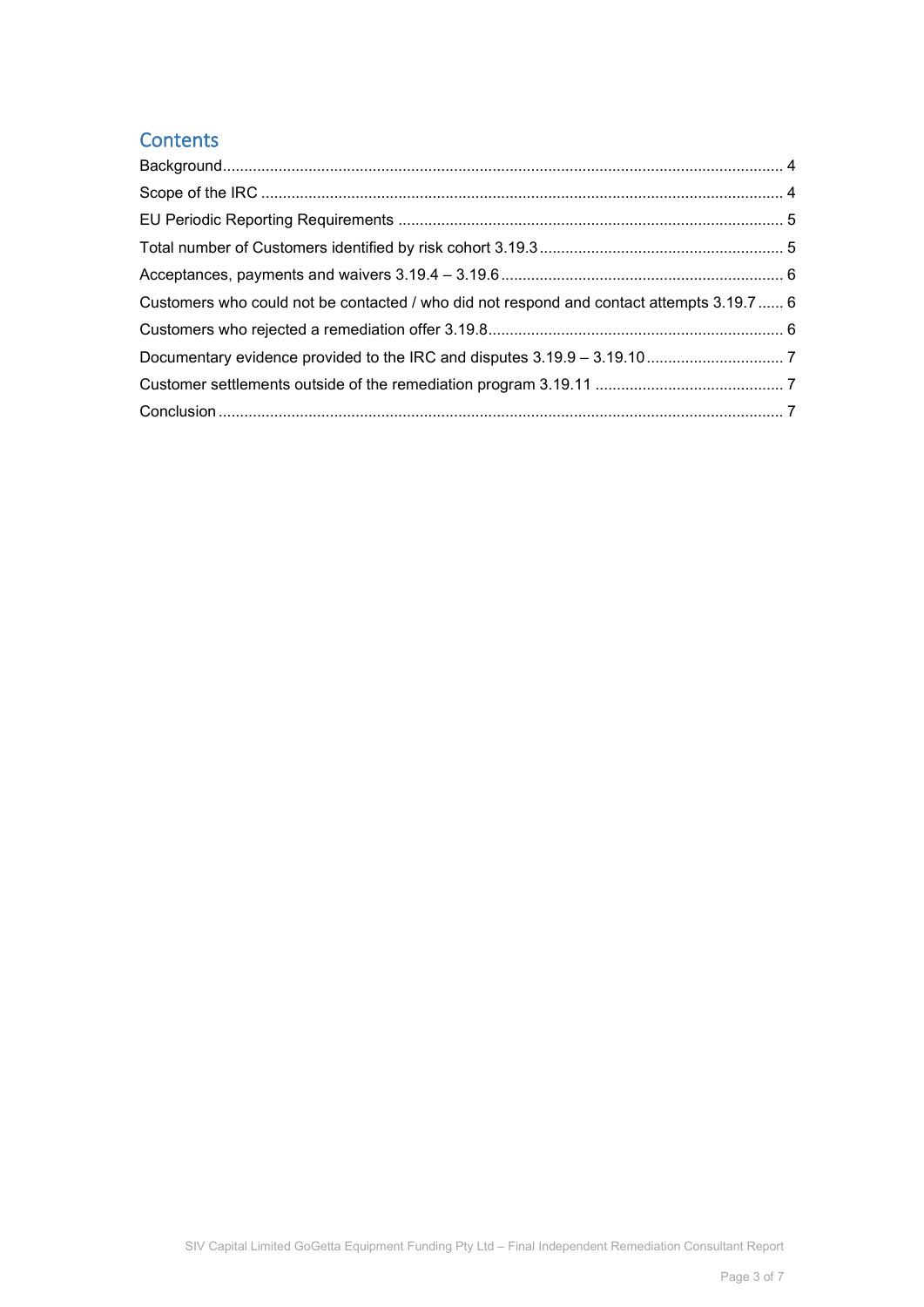### **Contents**

| Customers who could not be contacted / who did not respond and contact attempts 3.19.7  6 |  |
|-------------------------------------------------------------------------------------------|--|
|                                                                                           |  |
|                                                                                           |  |
|                                                                                           |  |
|                                                                                           |  |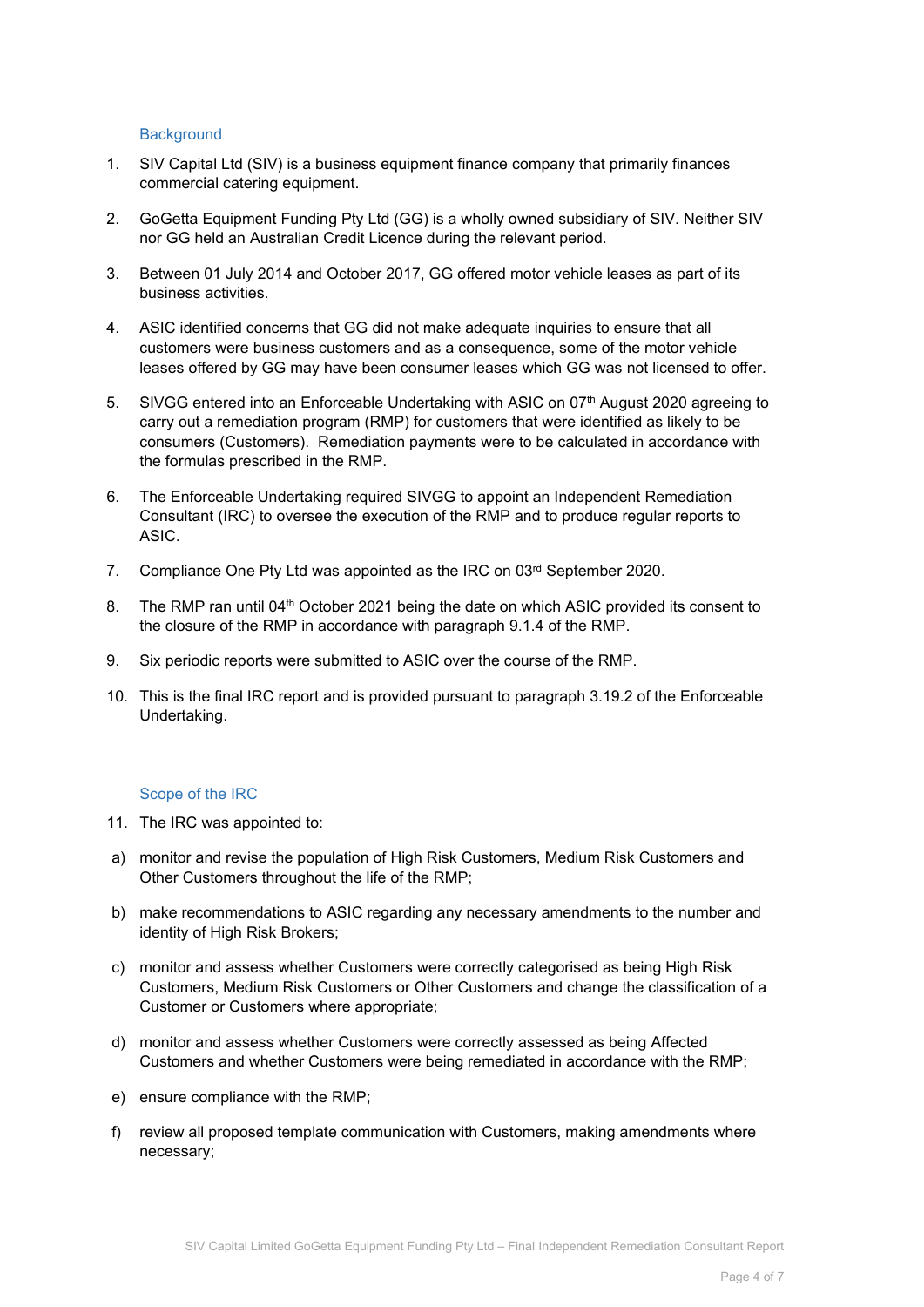#### <span id="page-3-0"></span>**Background**

- 1. SIV Capital Ltd (SIV) is a business equipment finance company that primarily finances commercial catering equipment.
- 2. GoGetta Equipment Funding Pty Ltd (GG) is a wholly owned subsidiary of SIV. Neither SIV nor GG held an Australian Credit Licence during the relevant period.
- 3. Between 01 July 2014 and October 2017, GG offered motor vehicle leases as part of its business activities.
- 4. ASIC identified concerns that GG did not make adequate inquiries to ensure that all customers were business customers and as a consequence, some of the motor vehicle leases offered by GG may have been consumer leases which GG was not licensed to offer.
- 5. SIVGG entered into an Enforceable Undertaking with ASIC on 07th August 2020 agreeing to carry out a remediation program (RMP) for customers that were identified as likely to be consumers (Customers). Remediation payments were to be calculated in accordance with the formulas prescribed in the RMP.
- 6. The Enforceable Undertaking required SIVGG to appoint an Independent Remediation Consultant (IRC) to oversee the execution of the RMP and to produce regular reports to ASIC.
- 7. Compliance One Pty Ltd was appointed as the IRC on 03rd September 2020.
- 8. The RMP ran until 04<sup>th</sup> October 2021 being the date on which ASIC provided its consent to the closure of the RMP in accordance with paragraph 9.1.4 of the RMP.
- 9. Six periodic reports were submitted to ASIC over the course of the RMP.
- 10. This is the final IRC report and is provided pursuant to paragraph 3.19.2 of the Enforceable Undertaking.

#### <span id="page-3-1"></span>Scope of the IRC

- 11. The IRC was appointed to:
- a) monitor and revise the population of High Risk Customers, Medium Risk Customers and Other Customers throughout the life of the RMP;
- b) make recommendations to ASIC regarding any necessary amendments to the number and identity of High Risk Brokers;
- c) monitor and assess whether Customers were correctly categorised as being High Risk Customers, Medium Risk Customers or Other Customers and change the classification of a Customer or Customers where appropriate;
- d) monitor and assess whether Customers were correctly assessed as being Affected Customers and whether Customers were being remediated in accordance with the RMP;
- e) ensure compliance with the RMP;
- f) review all proposed template communication with Customers, making amendments where necessary;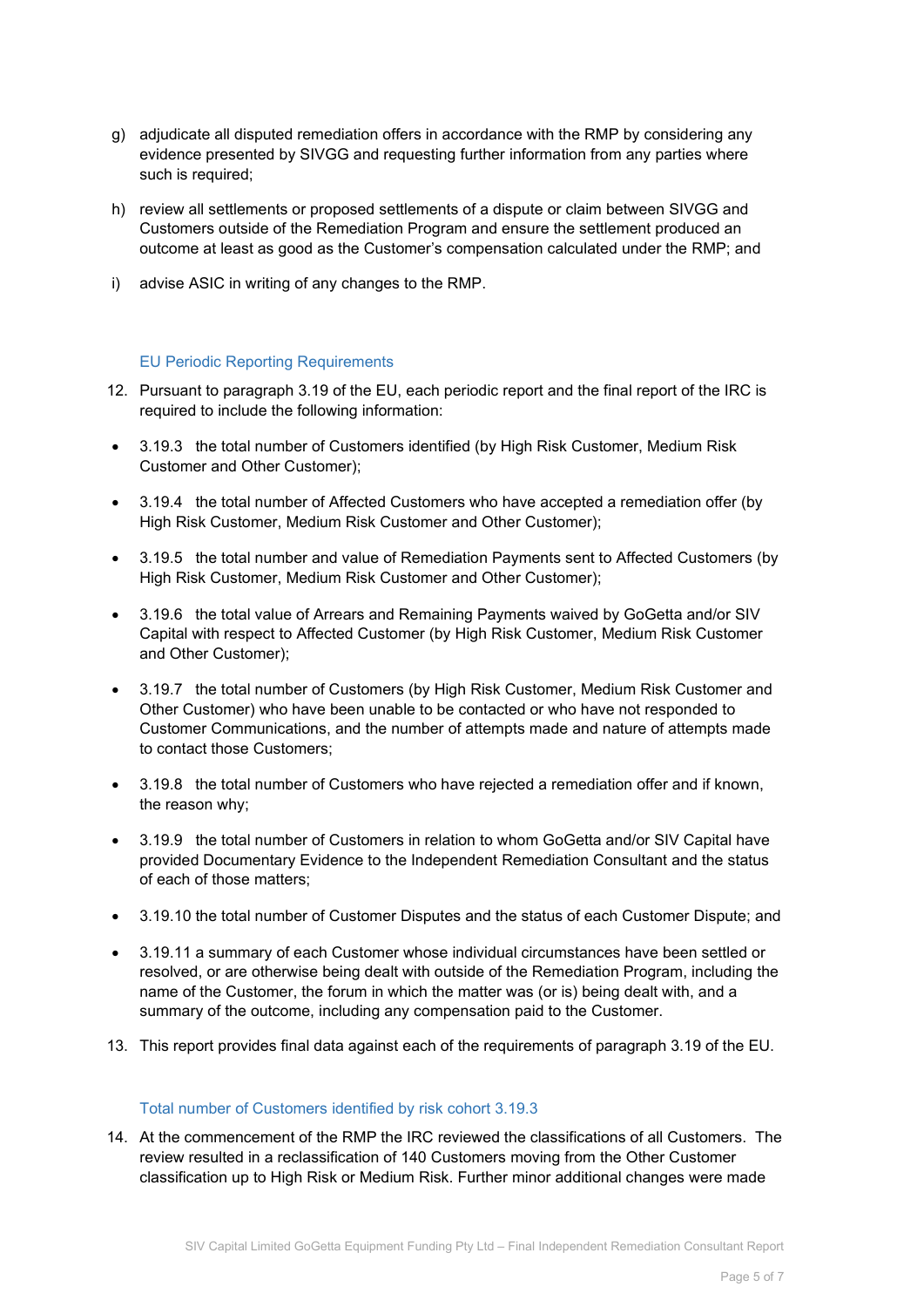- g) adjudicate all disputed remediation offers in accordance with the RMP by considering any evidence presented by SIVGG and requesting further information from any parties where such is required;
- h) review all settlements or proposed settlements of a dispute or claim between SIVGG and Customers outside of the Remediation Program and ensure the settlement produced an outcome at least as good as the Customer's compensation calculated under the RMP; and
- i) advise ASIC in writing of any changes to the RMP.

#### <span id="page-4-0"></span>EU Periodic Reporting Requirements

- 12. Pursuant to paragraph 3.19 of the EU, each periodic report and the final report of the IRC is required to include the following information:
- 3.19.3 the total number of Customers identified (by High Risk Customer, Medium Risk Customer and Other Customer);
- 3.19.4 the total number of Affected Customers who have accepted a remediation offer (by High Risk Customer, Medium Risk Customer and Other Customer);
- 3.19.5 the total number and value of Remediation Payments sent to Affected Customers (by High Risk Customer, Medium Risk Customer and Other Customer);
- 3.19.6 the total value of Arrears and Remaining Payments waived by GoGetta and/or SIV Capital with respect to Affected Customer (by High Risk Customer, Medium Risk Customer and Other Customer);
- 3.19.7 the total number of Customers (by High Risk Customer, Medium Risk Customer and Other Customer) who have been unable to be contacted or who have not responded to Customer Communications, and the number of attempts made and nature of attempts made to contact those Customers;
- 3.19.8 the total number of Customers who have rejected a remediation offer and if known, the reason why;
- 3.19.9 the total number of Customers in relation to whom GoGetta and/or SIV Capital have provided Documentary Evidence to the Independent Remediation Consultant and the status of each of those matters;
- 3.19.10 the total number of Customer Disputes and the status of each Customer Dispute; and
- 3.19.11 a summary of each Customer whose individual circumstances have been settled or resolved, or are otherwise being dealt with outside of the Remediation Program, including the name of the Customer, the forum in which the matter was (or is) being dealt with, and a summary of the outcome, including any compensation paid to the Customer.
- 13. This report provides final data against each of the requirements of paragraph 3.19 of the EU.

#### <span id="page-4-1"></span>Total number of Customers identified by risk cohort 3.19.3

14. At the commencement of the RMP the IRC reviewed the classifications of all Customers. The review resulted in a reclassification of 140 Customers moving from the Other Customer classification up to High Risk or Medium Risk. Further minor additional changes were made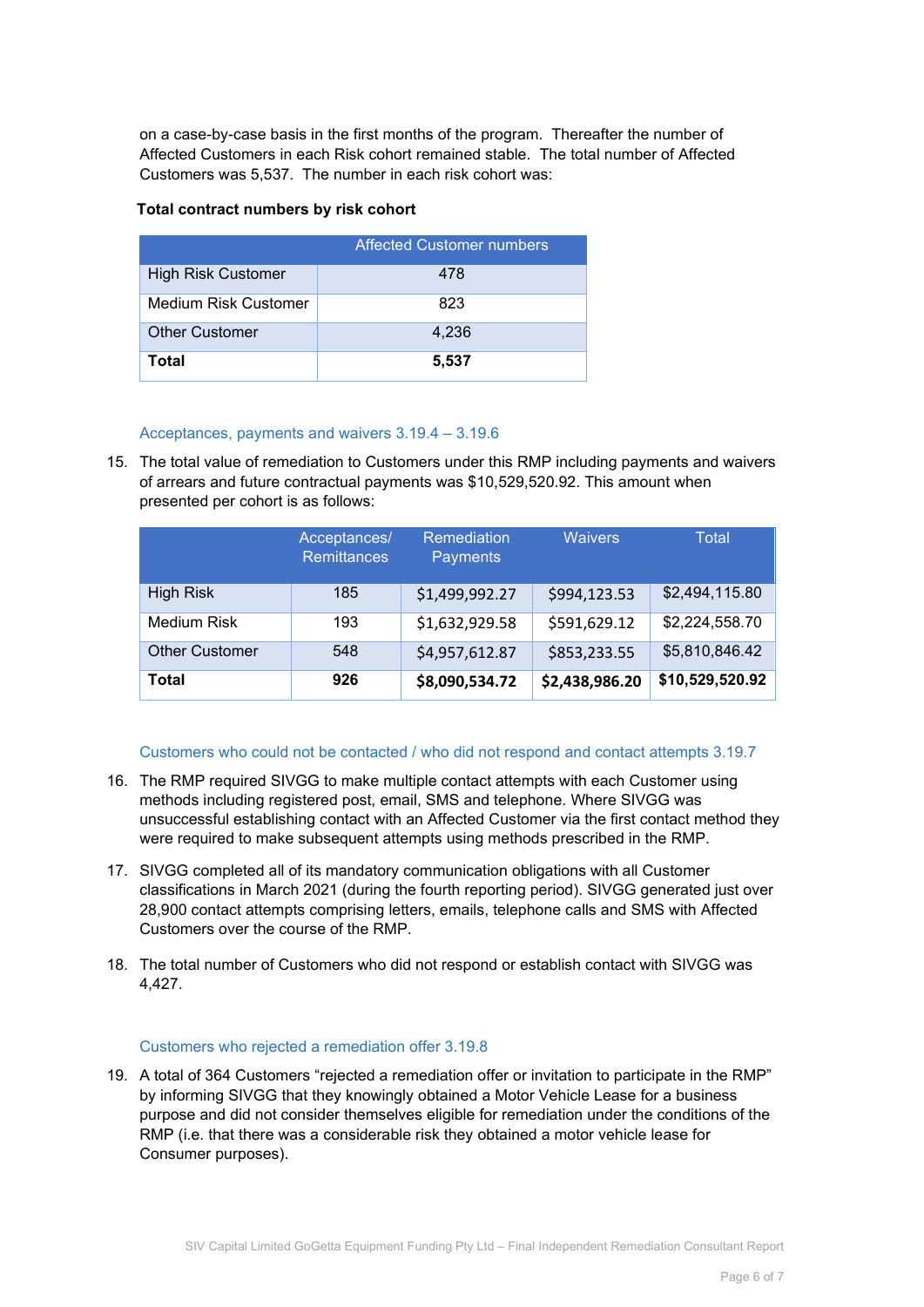on a case-by-case basis in the first months of the program. Thereafter the number of Affected Customers in each Risk cohort remained stable. The total number of Affected Customers was 5,537. The number in each risk cohort was:

#### **Total contract numbers by risk cohort**

|                           | <b>Affected Customer numbers</b> |
|---------------------------|----------------------------------|
| <b>High Risk Customer</b> | 478                              |
| Medium Risk Customer      | 823                              |
| <b>Other Customer</b>     | 4,236                            |
| Total                     | 5,537                            |

#### <span id="page-5-0"></span>Acceptances, payments and waivers 3.19.4 – 3.19.6

15. The total value of remediation to Customers under this RMP including payments and waivers of arrears and future contractual payments was \$10,529,520.92. This amount when presented per cohort is as follows:

|                       | Acceptances/<br><b>Remittances</b> | <b>Remediation</b><br>Payments | <b>Waivers</b> | Total           |
|-----------------------|------------------------------------|--------------------------------|----------------|-----------------|
| <b>High Risk</b>      | 185                                | \$1,499,992.27                 | \$994,123.53   | \$2,494,115.80  |
| Medium Risk           | 193                                | \$1,632,929.58                 | \$591,629.12   | \$2,224,558.70  |
| <b>Other Customer</b> | 548                                | \$4,957,612.87                 | \$853,233.55   | \$5,810,846.42  |
| Total                 | 926                                | \$8,090,534.72                 | \$2,438,986.20 | \$10,529,520.92 |

#### <span id="page-5-1"></span>Customers who could not be contacted / who did not respond and contact attempts 3.19.7

- 16. The RMP required SIVGG to make multiple contact attempts with each Customer using methods including registered post, email, SMS and telephone. Where SIVGG was unsuccessful establishing contact with an Affected Customer via the first contact method they were required to make subsequent attempts using methods prescribed in the RMP.
- 17. SIVGG completed all of its mandatory communication obligations with all Customer classifications in March 2021 (during the fourth reporting period). SIVGG generated just over 28,900 contact attempts comprising letters, emails, telephone calls and SMS with Affected Customers over the course of the RMP.
- 18. The total number of Customers who did not respond or establish contact with SIVGG was 4,427.

#### <span id="page-5-2"></span>Customers who rejected a remediation offer 3.19.8

19. A total of 364 Customers "rejected a remediation offer or invitation to participate in the RMP" by informing SIVGG that they knowingly obtained a Motor Vehicle Lease for a business purpose and did not consider themselves eligible for remediation under the conditions of the RMP (i.e. that there was a considerable risk they obtained a motor vehicle lease for Consumer purposes).